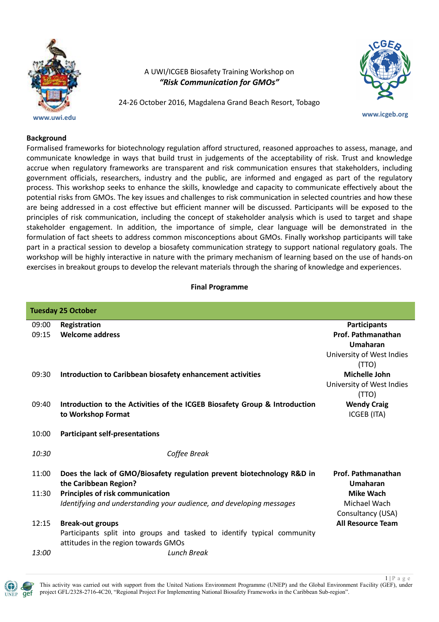

A UWI/ICGEB Biosafety Training Workshop on *"Risk Communication for GMOs"*

24-26 October 2016, Magdalena Grand Beach Resort, Tobago



## **www.icgeb.org**

## **Background**

Formalised frameworks for biotechnology regulation afford structured, reasoned approaches to assess, manage, and communicate knowledge in ways that build trust in judgements of the acceptability of risk. Trust and knowledge accrue when regulatory frameworks are transparent and risk communication ensures that stakeholders, including government officials, researchers, industry and the public, are informed and engaged as part of the regulatory process. This workshop seeks to enhance the skills, knowledge and capacity to communicate effectively about the potential risks from GMOs. The key issues and challenges to risk communication in selected countries and how these are being addressed in a cost effective but efficient manner will be discussed. Participants will be exposed to the principles of risk communication, including the concept of stakeholder analysis which is used to target and shape stakeholder engagement. In addition, the importance of simple, clear language will be demonstrated in the formulation of fact sheets to address common misconceptions about GMOs. Finally workshop participants will take part in a practical session to develop a biosafety communication strategy to support national regulatory goals. The workshop will be highly interactive in nature with the primary mechanism of learning based on the use of hands-on exercises in breakout groups to develop the relevant materials through the sharing of knowledge and experiences.

## **Final Programme**

| <b>Tuesday 25 October</b> |                                                                                                  |                                   |  |
|---------------------------|--------------------------------------------------------------------------------------------------|-----------------------------------|--|
| 09:00                     | Registration                                                                                     | <b>Participants</b>               |  |
| 09:15                     | <b>Welcome address</b>                                                                           | Prof. Pathmanathan                |  |
|                           |                                                                                                  | Umaharan                          |  |
|                           |                                                                                                  | University of West Indies         |  |
|                           |                                                                                                  | (TTO)                             |  |
| 09:30                     | Introduction to Caribbean biosafety enhancement activities                                       | Michelle John                     |  |
|                           |                                                                                                  | University of West Indies         |  |
|                           |                                                                                                  | (TTO)                             |  |
| 09:40                     | Introduction to the Activities of the ICGEB Biosafety Group & Introduction<br>to Workshop Format | <b>Wendy Craig</b><br>ICGEB (ITA) |  |
|                           |                                                                                                  |                                   |  |
| 10:00                     | <b>Participant self-presentations</b>                                                            |                                   |  |
|                           |                                                                                                  |                                   |  |
| 10:30                     | Coffee Break                                                                                     |                                   |  |
| 11:00                     | Does the lack of GMO/Biosafety regulation prevent biotechnology R&D in                           | Prof. Pathmanathan                |  |
|                           | the Caribbean Region?                                                                            | Umaharan                          |  |
| 11:30                     | <b>Principles of risk communication</b>                                                          | <b>Mike Wach</b>                  |  |
|                           | Identifying and understanding your audience, and developing messages                             | Michael Wach                      |  |
|                           |                                                                                                  | Consultancy (USA)                 |  |
| 12:15                     | <b>Break-out groups</b>                                                                          | <b>All Resource Team</b>          |  |
|                           | Participants split into groups and tasked to identify typical community                          |                                   |  |
|                           | attitudes in the region towards GMOs                                                             |                                   |  |
| <i>13:00</i>              | Lunch Break                                                                                      |                                   |  |